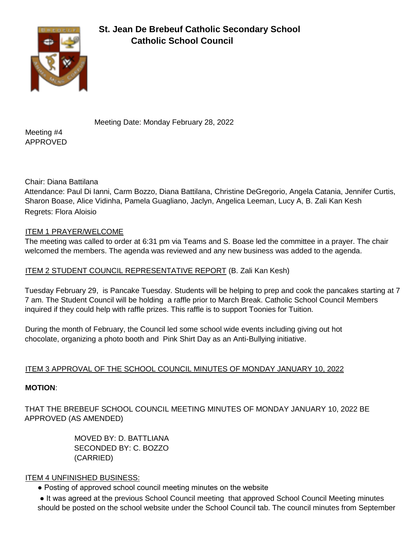

# **St. Jean De Brebeuf Catholic Secondary School Catholic School Council**

Meeting Date: Monday February 28, 2022

Meeting #4 APPROVED

Chair: Diana Battilana

Attendance: Paul Di Ianni, Carm Bozzo, Diana Battilana, Christine DeGregorio, Angela Catania, Jennifer Curtis, Sharon Boase, Alice Vidinha, Pamela Guagliano, Jaclyn, Angelica Leeman, Lucy A, B. Zali Kan Kesh Regrets: Flora Aloisio

# ITEM 1 PRAYER/WELCOME

The meeting was called to order at 6:31 pm via Teams and S. Boase led the committee in a prayer. The chair welcomed the members. The agenda was reviewed and any new business was added to the agenda.

## ITEM 2 STUDENT COUNCIL REPRESENTATIVE REPORT (B. Zali Kan Kesh)

Tuesday February 29, is Pancake Tuesday. Students will be helping to prep and cook the pancakes starting at 7 7 am. The Student Council will be holding a raffle prior to March Break. Catholic School Council Members inquired if they could help with raffle prizes. This raffle is to support Toonies for Tuition.

During the month of February, the Council led some school wide events including giving out hot chocolate, organizing a photo booth and Pink Shirt Day as an Anti-Bullying initiative.

## ITEM 3 APPROVAL OF THE SCHOOL COUNCIL MINUTES OF MONDAY JANUARY 10, 2022

## **MOTION**:

THAT THE BREBEUF SCHOOL COUNCIL MEETING MINUTES OF MONDAY JANUARY 10, 2022 BE APPROVED (AS AMENDED)

> MOVED BY: D. BATTLIANA SECONDED BY: C. BOZZO (CARRIED)

## ITEM 4 UNFINISHED BUSINESS:

• Posting of approved school council meeting minutes on the website

• It was agreed at the previous School Council meeting that approved School Council Meeting minutes should be posted on the school website under the School Council tab. The council minutes from September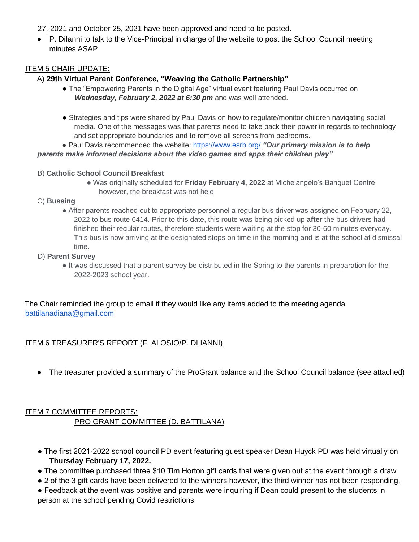27, 2021 and October 25, 2021 have been approved and need to be posted.

● P. Dilanni to talk to the Vice-Principal in charge of the website to post the School Council meeting minutes ASAP

## ITEM 5 CHAIR UPDATE:

## A) **29th Virtual Parent Conference, "Weaving the Catholic Partnership"**

- The "Empowering Parents in the Digital Age" virtual event featuring Paul Davis occurred on Wednesday, February 2, 2022 at 6:30 pm and was well attended.
- Strategies and tips were shared by Paul Davis on how to regulate/monitor children navigating social media. One of the messages was that parents need to take back their power in regards to technology and set appropriate boundaries and to remove all screens from bedrooms.

● Paul Davis recommended the website: https://www.esrb.org/ *"Our primary mission is to help parents make informed decisions about the video games and apps their children play"*

#### B) **Catholic School Council Breakfast**

● Was originally scheduled for **Friday February 4, 2022** at Michelangelo's Banquet Centre however, the breakfast was not held

#### C) **Bussing**

● After parents reached out to appropriate personnel a regular bus driver was assigned on February 22, 2022 to bus route 6414. Prior to this date, this route was being picked up **after** the bus drivers had finished their regular routes, therefore students were waiting at the stop for 30-60 minutes everyday. This bus is now arriving at the designated stops on time in the morning and is at the school at dismissal time.

### D) **Parent Survey**

● It was discussed that a parent survey be distributed in the Spring to the parents in preparation for the 2022-2023 school year.

The Chair reminded the group to email if they would like any items added to the meeting agenda battilanadiana@gmail.com

### ITEM 6 TREASURER'S REPORT (F. ALOSIO/P. DI IANNI)

● The treasurer provided a summary of the ProGrant balance and the School Council balance (see attached)

# ITEM 7 COMMITTEE REPORTS: PRO GRANT COMMITTEE (D. BATTILANA)

- The first 2021-2022 school council PD event featuring guest speaker Dean Huyck PD was held virtually on **Thursday February 17, 2022.**
- The committee purchased three \$10 Tim Horton gift cards that were given out at the event through a draw
- 2 of the 3 gift cards have been delivered to the winners however, the third winner has not been responding.

● Feedback at the event was positive and parents were inquiring if Dean could present to the students in person at the school pending Covid restrictions.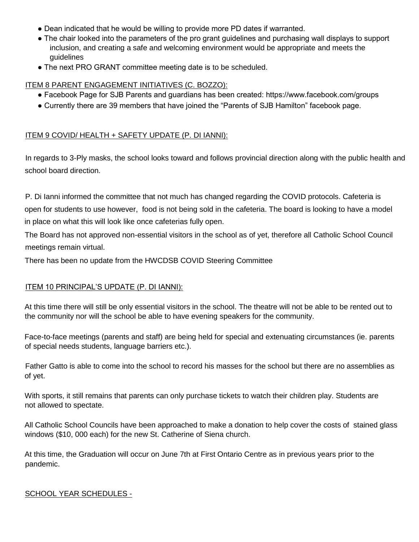- Dean indicated that he would be willing to provide more PD dates if warranted.
- The chair looked into the parameters of the pro grant guidelines and purchasing wall displays to support inclusion, and creating a safe and welcoming environment would be appropriate and meets the guidelines
- The next PRO GRANT committee meeting date is to be scheduled.

## ITEM 8 PARENT ENGAGEMENT INITIATIVES (C. BOZZO):

- Facebook Page for SJB Parents and guardians has been created: https://www.facebook.com/groups
- Currently there are 39 members that have joined the "Parents of SJB Hamilton" facebook page.

## ITEM 9 COVID/ HEALTH + SAFETY UPDATE (P. DI IANNI):

In regards to 3-Ply masks, the school looks toward and follows provincial direction along with the public health and school board direction.

P. Di Ianni informed the committee that not much has changed regarding the COVID protocols. Cafeteria is open for students to use however, food is not being sold in the cafeteria. The board is looking to have a model in place on what this will look like once cafeterias fully open.

The Board has not approved non-essential visitors in the school as of yet, therefore all Catholic School Council meetings remain virtual.

There has been no update from the HWCDSB COVID Steering Committee

## ITEM 10 PRINCIPAL'S UPDATE (P. DI IANNI):

At this time there will still be only essential visitors in the school. The theatre will not be able to be rented out to the community nor will the school be able to have evening speakers for the community.

Face-to-face meetings (parents and staff) are being held for special and extenuating circumstances (ie. parents of special needs students, language barriers etc.).

Father Gatto is able to come into the school to record his masses for the school but there are no assemblies as of yet.

With sports, it still remains that parents can only purchase tickets to watch their children play. Students are not allowed to spectate.

All Catholic School Councils have been approached to make a donation to help cover the costs of stained glass windows (\$10, 000 each) for the new St. Catherine of Siena church.

At this time, the Graduation will occur on June 7th at First Ontario Centre as in previous years prior to the pandemic.

### SCHOOL YEAR SCHEDULES -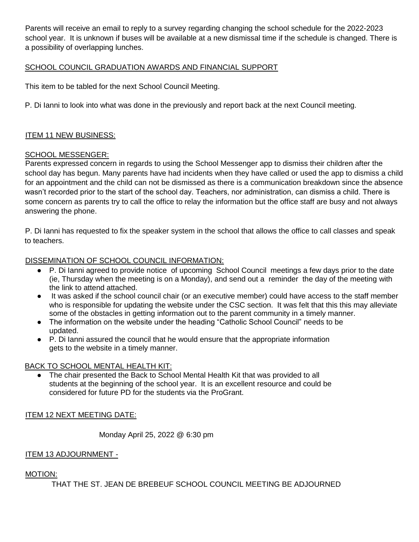Parents will receive an email to reply to a survey regarding changing the school schedule for the 2022-2023 school year. It is unknown if buses will be available at a new dismissal time if the schedule is changed. There is a possibility of overlapping lunches.

## SCHOOL COUNCIL GRADUATION AWARDS AND FINANCIAL SUPPORT

This item to be tabled for the next School Council Meeting.

P. Di Ianni to look into what was done in the previously and report back at the next Council meeting.

### ITEM 11 NEW BUSINESS:

#### SCHOOL MESSENGER:

Parents expressed concern in regards to using the School Messenger app to dismiss their children after the school day has begun. Many parents have had incidents when they have called or used the app to dismiss a child for an appointment and the child can not be dismissed as there is a communication breakdown since the absence wasn't recorded prior to the start of the school day. Teachers, nor administration, can dismiss a child. There is some concern as parents try to call the office to relay the information but the office staff are busy and not always answering the phone.

P. Di Ianni has requested to fix the speaker system in the school that allows the office to call classes and speak to teachers.

### DISSEMINATION OF SCHOOL COUNCIL INFORMATION:

- P. Di Ianni agreed to provide notice of upcoming School Council meetings a few days prior to the date (ie, Thursday when the meeting is on a Monday), and send out a reminder the day of the meeting with the link to attend attached.
- It was asked if the school council chair (or an executive member) could have access to the staff member who is responsible for updating the website under the CSC section. It was felt that this this may alleviate some of the obstacles in getting information out to the parent community in a timely manner.
- The information on the website under the heading "Catholic School Council" needs to be updated.
- P. Di Ianni assured the council that he would ensure that the appropriate information gets to the website in a timely manner.

### BACK TO SCHOOL MENTAL HEALTH KIT:

The chair presented the Back to School Mental Health Kit that was provided to all students at the beginning of the school year. It is an excellent resource and could be considered for future PD for the students via the ProGrant.

### ITEM 12 NEXT MEETING DATE:

Monday April 25, 2022 @ 6:30 pm

### ITEM 13 ADJOURNMENT -

### MOTION:

THAT THE ST. JEAN DE BREBEUF SCHOOL COUNCIL MEETING BE ADJOURNED